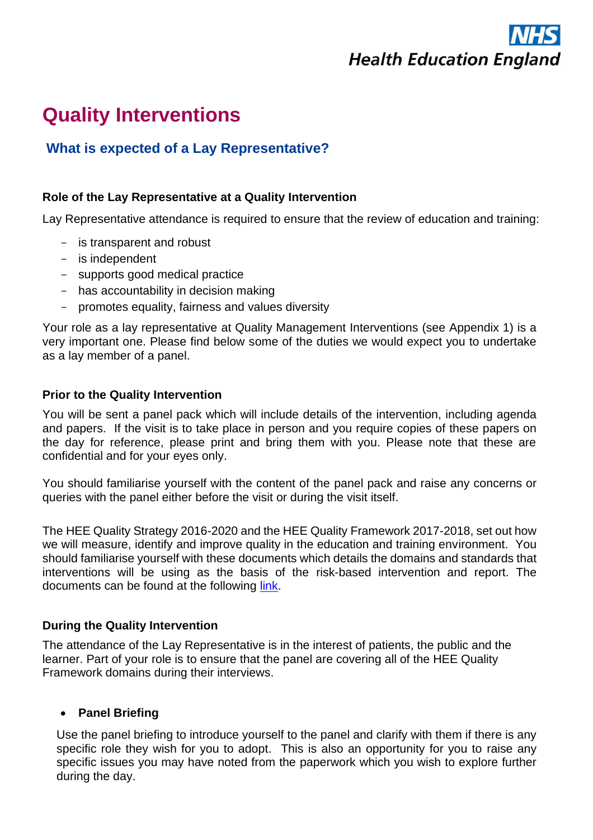

# **Quality Interventions**

# **What is expected of a Lay Representative?**

# **Role of the Lay Representative at a Quality Intervention**

Lay Representative attendance is required to ensure that the review of education and training:

- is transparent and robust
- is independent
- supports good medical practice
- has accountability in decision making
- promotes equality, fairness and values diversity

Your role as a lay representative at Quality Management Interventions (see Appendix 1) is a very important one. Please find below some of the duties we would expect you to undertake as a lay member of a panel.

### **Prior to the Quality Intervention**

You will be sent a panel pack which will include details of the intervention, including agenda and papers. If the visit is to take place in person and you require copies of these papers on the day for reference, please print and bring them with you. Please note that these are confidential and for your eyes only.

You should familiarise yourself with the content of the panel pack and raise any concerns or queries with the panel either before the visit or during the visit itself.

The HEE Quality Strategy 2016-2020 and the HEE Quality Framework 2017-2018, set out how we will measure, identify and improve quality in the education and training environment. You should familiarise yourself with these documents which details the domains and standards that interventions will be using as the basis of the risk-based intervention and report. The documents can be found at the following [link.](https://hee.nhs.uk/our-work/quality)

# **During the Quality Intervention**

The attendance of the Lay Representative is in the interest of patients, the public and the learner. Part of your role is to ensure that the panel are covering all of the HEE Quality Framework domains during their interviews.

# • **Panel Briefing**

Use the panel briefing to introduce yourself to the panel and clarify with them if there is any specific role they wish for you to adopt. This is also an opportunity for you to raise any specific issues you may have noted from the paperwork which you wish to explore further during the day.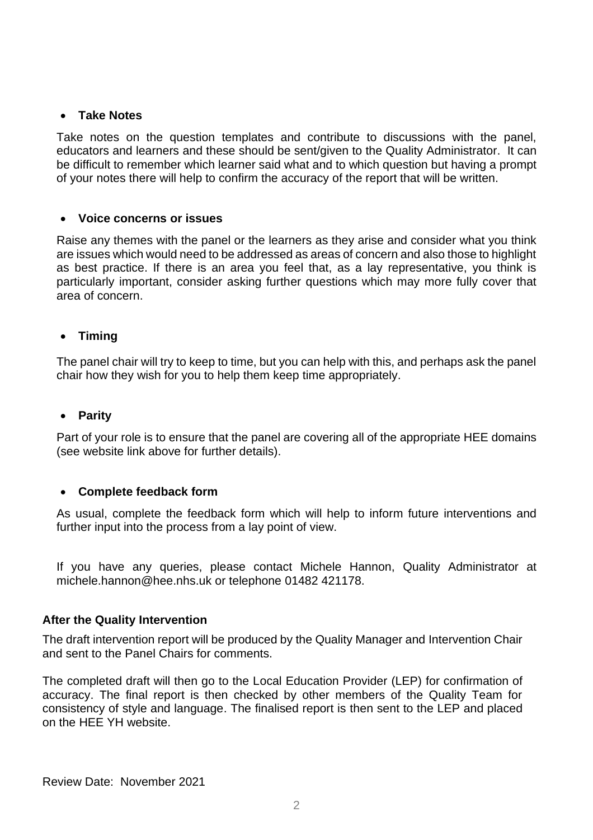## • **Take Notes**

Take notes on the question templates and contribute to discussions with the panel, educators and learners and these should be sent/given to the Quality Administrator. It can be difficult to remember which learner said what and to which question but having a prompt of your notes there will help to confirm the accuracy of the report that will be written.

### • **Voice concerns or issues**

Raise any themes with the panel or the learners as they arise and consider what you think are issues which would need to be addressed as areas of concern and also those to highlight as best practice. If there is an area you feel that, as a lay representative, you think is particularly important, consider asking further questions which may more fully cover that area of concern.

### • **Timing**

The panel chair will try to keep to time, but you can help with this, and perhaps ask the panel chair how they wish for you to help them keep time appropriately.

#### • **Parity**

Part of your role is to ensure that the panel are covering all of the appropriate HEE domains (see website link above for further details).

#### • **Complete feedback form**

As usual, complete the feedback form which will help to inform future interventions and further input into the process from a lay point of view.

If you have any queries, please contact Michele Hannon, Quality Administrator at [michele.hannon@hee.nhs.uk](mailto:michele.hannon@hee.nhs.uk) or telephone 01482 421178.

#### **After the Quality Intervention**

The draft intervention report will be produced by the Quality Manager and Intervention Chair and sent to the Panel Chairs for comments.

The completed draft will then go to the Local Education Provider (LEP) for confirmation of accuracy. The final report is then checked by other members of the Quality Team for consistency of style and language. The finalised report is then sent to the LEP and placed on the HEE YH website.

Review Date: November 2021